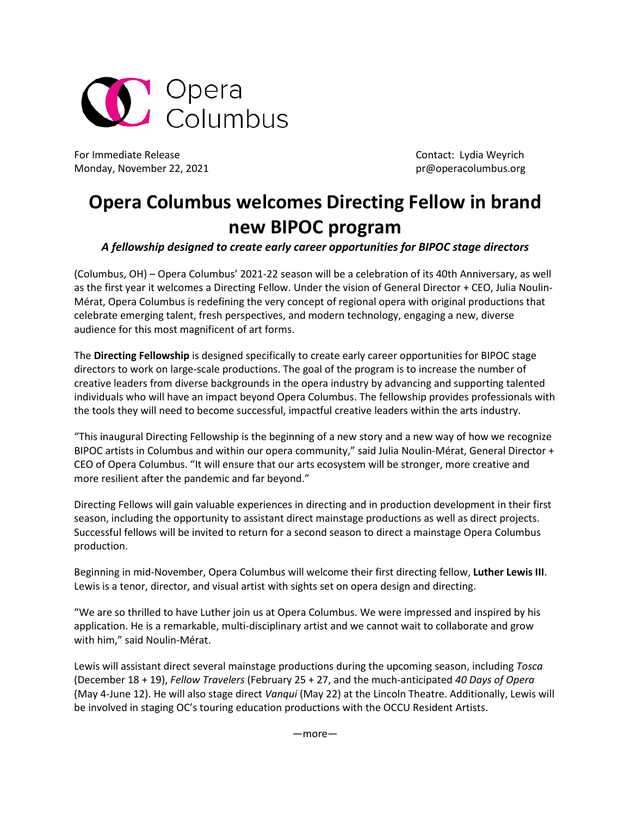

For Immediate Release Contact: Lydia Weyrich Monday, November 22, 2021 **but a strategies and the example of the example of the example of the example of the example of the example of the example of the example of the example of the example of the example of the examp** 

## **Opera Columbus welcomes Directing Fellow in brand new BIPOC program**

## *A fellowship designed to create early career opportunities for BIPOC stage directors*

(Columbus, OH) – Opera Columbus' 2021-22 season will be a celebration of its 40th Anniversary, as well as the first year it welcomes a Directing Fellow. Under the vision of General Director + CEO, Julia Noulin-Mérat, Opera Columbus is redefining the very concept of regional opera with original productions that celebrate emerging talent, fresh perspectives, and modern technology, engaging a new, diverse audience for this most magnificent of art forms.

The **Directing Fellowship** is designed specifically to create early career opportunities for BIPOC stage directors to work on large-scale productions. The goal of the program is to increase the number of creative leaders from diverse backgrounds in the opera industry by advancing and supporting talented individuals who will have an impact beyond Opera Columbus. The fellowship provides professionals with the tools they will need to become successful, impactful creative leaders within the arts industry.

"This inaugural Directing Fellowship is the beginning of a new story and a new way of how we recognize BIPOC artists in Columbus and within our opera community," said Julia Noulin-Mérat, General Director + CEO of Opera Columbus. "It will ensure that our arts ecosystem will be stronger, more creative and more resilient after the pandemic and far beyond."

Directing Fellows will gain valuable experiences in directing and in production development in their first season, including the opportunity to assistant direct mainstage productions as well as direct projects. Successful fellows will be invited to return for a second season to direct a mainstage Opera Columbus production.

Beginning in mid-November, Opera Columbus will welcome their first directing fellow, **Luther Lewis III**. Lewis is a tenor, director, and visual artist with sights set on opera design and directing.

"We are so thrilled to have Luther join us at Opera Columbus. We were impressed and inspired by his application. He is a remarkable, multi-disciplinary artist and we cannot wait to collaborate and grow with him," said Noulin-Mérat.

Lewis will assistant direct several mainstage productions during the upcoming season, including *Tosca* (December 18 + 19), *Fellow Travelers* (February 25 + 27, and the much-anticipated *40 Days of Opera* (May 4-June 12). He will also stage direct *Vanqui* (May 22) at the Lincoln Theatre. Additionally, Lewis will be involved in staging OC's touring education productions with the OCCU Resident Artists.

—more—